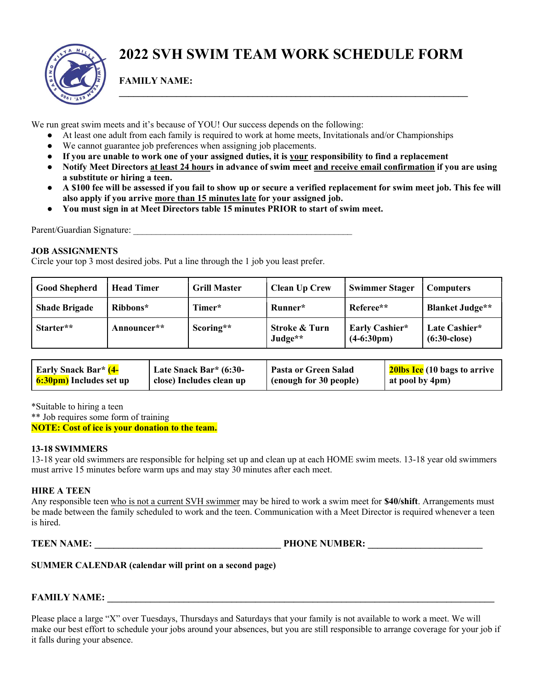

## 2022 SVH SWIM TEAM WORK SCHEDULE FORM

 $\_$  , and the set of the set of the set of the set of the set of the set of the set of the set of the set of the set of the set of the set of the set of the set of the set of the set of the set of the set of the set of th

FAMILY NAME:

We run great swim meets and it's because of YOU! Our success depends on the following:

- At least one adult from each family is required to work at home meets, Invitationals and/or Championships
- We cannot guarantee job preferences when assigning job placements.
- If you are unable to work one of your assigned duties, it is your responsibility to find a replacement
- Notify Meet Directors at least 24 hours in advance of swim meet and receive email confirmation if you are using a substitute or hiring a teen.
- A \$100 fee will be assessed if you fail to show up or secure a verified replacement for swim meet job. This fee will also apply if you arrive more than 15 minutes late for your assigned job.
- You must sign in at Meet Directors table 15 minutes PRIOR to start of swim meet.

Parent/Guardian Signature:

#### JOB ASSIGNMENTS

Circle your top 3 most desired jobs. Put a line through the 1 job you least prefer.

| <b>Good Shepherd</b> | <b>Head Timer</b> | <b>Grill Master</b> | <b>Clean Up Crew</b>     | <b>Swimmer Stager</b>                  | <b>Computers</b>                        |
|----------------------|-------------------|---------------------|--------------------------|----------------------------------------|-----------------------------------------|
| <b>Shade Brigade</b> | Ribbons*          | Timer*              | Runner*                  | Referee**                              | <b>Blanket Judge**</b>                  |
| Starter**            | Announcer**       | Scoring**           | Stroke & Turn<br>Judge** | Early Cashier*<br>$(4-6:30 \text{pm})$ | Late Cashier*<br>$(6:30 \text{-close})$ |

| <b>Early Snack Bar*</b> (4-    | Late Snack Bar* (6:30-   | Pasta or Green Salad     | 20lbs Ice (10 bags to arrive |
|--------------------------------|--------------------------|--------------------------|------------------------------|
| <b>6:30pm)</b> Includes set up | close) Includes clean up | I (enough for 30 people) | at pool by 4pm)              |

\*Suitable to hiring a teen

\*\* Job requires some form of training NOTE: Cost of ice is your donation to the team.

#### 13-18 SWIMMERS

13-18 year old swimmers are responsible for helping set up and clean up at each HOME swim meets. 13-18 year old swimmers must arrive 15 minutes before warm ups and may stay 30 minutes after each meet.

### HIRE A TEEN

Any responsible teen who is not a current SVH swimmer may be hired to work a swim meet for **\$40/shift**. Arrangements must be made between the family scheduled to work and the teen. Communication with a Meet Director is required whenever a teen is hired.

TEEN NAME: TEEN NAME:

| <b>SUMMER CALENDAR (calendar will print on a second page)</b> |  |  |
|---------------------------------------------------------------|--|--|
|                                                               |  |  |

### FAMILY NAME:

Please place a large "X" over Tuesdays, Thursdays and Saturdays that your family is not available to work a meet. We will make our best effort to schedule your jobs around your absences, but you are still responsible to arrange coverage for your job if it falls during your absence.